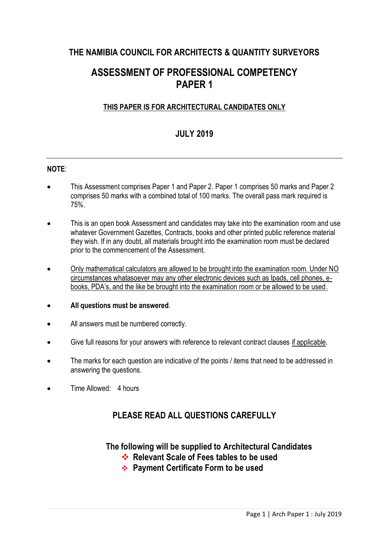# **THE NAMIBIA COUNCIL FOR ARCHITECTS & QUANTITY SURVEYORS**

# **ASSESSMENT OF PROFESSIONAL COMPETENCY PAPER 1**

### **THIS PAPER IS FOR ARCHITECTURAL CANDIDATES ONLY**

## **JULY 2019**

#### **NOTE**:

- This Assessment comprises Paper 1 and Paper 2. Paper 1 comprises 50 marks and Paper 2 comprises 50 marks with a combined total of 100 marks. The overall pass mark required is 75%.
- This is an open book Assessment and candidates may take into the examination room and use whatever Government Gazettes, Contracts, books and other printed public reference material they wish. If in any doubt, all materials brought into the examination room must be declared prior to the commencement of the Assessment.
- Only mathematical calculators are allowed to be brought into the examination room. Under NO circumstances whatasoever may any other electronic devices such as Ipads, cell phones, ebooks, PDA's, and the like be brought into the examination room or be allowed to be used.
- **All questions must be answered**.
- All answers must be numbered correctly.
- Give full reasons for your answers with reference to relevant contract clauses if applicable.
- The marks for each question are indicative of the points / items that need to be addressed in answering the questions.
- Time Allowed: 4 hours

## **PLEASE READ ALL QUESTIONS CAREFULLY**

**The following will be supplied to Architectural Candidates** 

- **<sup>◆</sup>** Relevant Scale of Fees tables to be used
- **Payment Certificate Form to be used**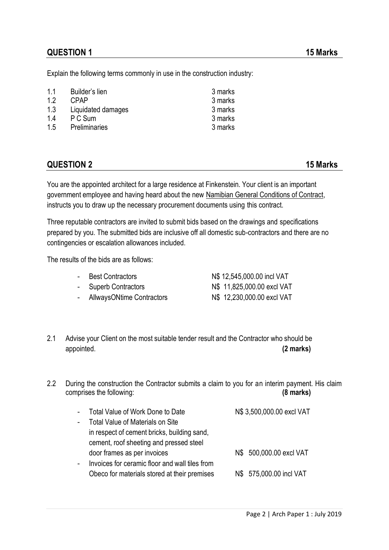Explain the following terms commonly in use in the construction industry:

| 1.1<br>1.2<br>1.3 | Builder's lien<br>CPAP<br>Liquidated damages | 3 marks<br>3 marks<br>3 marks |
|-------------------|----------------------------------------------|-------------------------------|
| 1.4               | P C Sum                                      | 3 marks                       |
| 1.5               | <b>Preliminaries</b>                         | 3 marks                       |

### **QUESTION 2 15 Marks**

You are the appointed architect for a large residence at Finkenstein. Your client is an important government employee and having heard about the new Namibian General Conditions of Contract, instructs you to draw up the necessary procurement documents using this contract.

Three reputable contractors are invited to submit bids based on the drawings and specifications prepared by you. The submitted bids are inclusive off all domestic sub-contractors and there are no contingencies or escalation allowances included.

The results of the bids are as follows:

| - Best Contractors               | N\$ 12,545,000.00 incl VAT |
|----------------------------------|----------------------------|
| - Superb Contractors             | N\$ 11,825,000.00 excl VAT |
| <b>AllwaysONtime Contractors</b> | N\$ 12,230,000.00 excl VAT |

- 2.1 Advise your Client on the most suitable tender result and the Contractor who should be appointed. **(2 marks)**
- 2.2 During the construction the Contractor submits a claim to you for an interim payment. His claim comprises the following: **(8 marks)**

| $\sim$                   | Total Value of Work Done to Date               | N\$ 3,500,000.00 excl VAT |
|--------------------------|------------------------------------------------|---------------------------|
| $\overline{\phantom{a}}$ | <b>Total Value of Materials on Site</b>        |                           |
|                          | in respect of cement bricks, building sand,    |                           |
|                          | cement, roof sheeting and pressed steel        |                           |
|                          | door frames as per invoices                    | N\$ 500,000.00 excl VAT   |
|                          | Invoices for ceramic floor and wall tiles from |                           |
|                          | Obeco for materials stored at their premises   | N\$ 575,000.00 incl VAT   |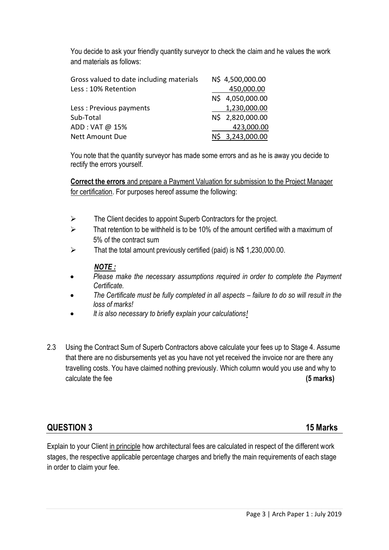You decide to ask your friendly quantity surveyor to check the claim and he values the work and materials as follows:

| Gross valued to date including materials | N\$ 4,500,000.00 |
|------------------------------------------|------------------|
| Less: 10% Retention                      | 450,000.00       |
|                                          | N\$ 4,050,000.00 |
| Less: Previous payments                  | 1,230,000.00     |
| Sub-Total                                | N\$ 2,820,000.00 |
| ADD: VAT @ 15%                           | 423,000.00       |
| <b>Nett Amount Due</b>                   | 3,243,000.00     |
|                                          |                  |

You note that the quantity surveyor has made some errors and as he is away you decide to rectify the errors yourself.

**Correct the errors** and prepare a Payment Valuation for submission to the Project Manager for certification. For purposes hereof assume the following:

- $\triangleright$  The Client decides to appoint Superb Contractors for the project.
- $\triangleright$  That retention to be withheld is to be 10% of the amount certified with a maximum of 5% of the contract sum
- $\triangleright$  That the total amount previously certified (paid) is N\$ 1,230,000.00.

#### *NOTE :*

- *Please make the necessary assumptions required in order to complete the Payment Certificate.*
- *The Certificate must be fully completed in all aspects – failure to do so will result in the loss of marks!*
- *It is also necessary to briefly explain your calculations!*
- 2.3 Using the Contract Sum of Superb Contractors above calculate your fees up to Stage 4. Assume that there are no disbursements yet as you have not yet received the invoice nor are there any travelling costs. You have claimed nothing previously. Which column would you use and why to calculate the fee **(5 marks)**

### **QUESTION 3 15 Marks**

Explain to your Client in principle how architectural fees are calculated in respect of the different work stages, the respective applicable percentage charges and briefly the main requirements of each stage in order to claim your fee.